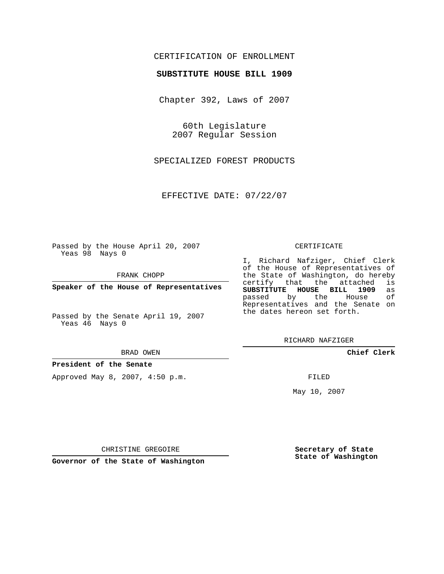## CERTIFICATION OF ENROLLMENT

### **SUBSTITUTE HOUSE BILL 1909**

Chapter 392, Laws of 2007

60th Legislature 2007 Regular Session

SPECIALIZED FOREST PRODUCTS

EFFECTIVE DATE: 07/22/07

Passed by the House April 20, 2007 Yeas 98 Nays 0

FRANK CHOPP

**Speaker of the House of Representatives**

Passed by the Senate April 19, 2007 Yeas 46 Nays 0

#### BRAD OWEN

**President of the Senate**

Approved May 8, 2007, 4:50 p.m.

#### CERTIFICATE

I, Richard Nafziger, Chief Clerk of the House of Representatives of the State of Washington, do hereby<br>certify that the attached is certify that the attached **SUBSTITUTE HOUSE BILL 1909** as passed by the House Representatives and the Senate on the dates hereon set forth.

RICHARD NAFZIGER

**Chief Clerk**

FILED

May 10, 2007

**Secretary of State State of Washington**

CHRISTINE GREGOIRE

**Governor of the State of Washington**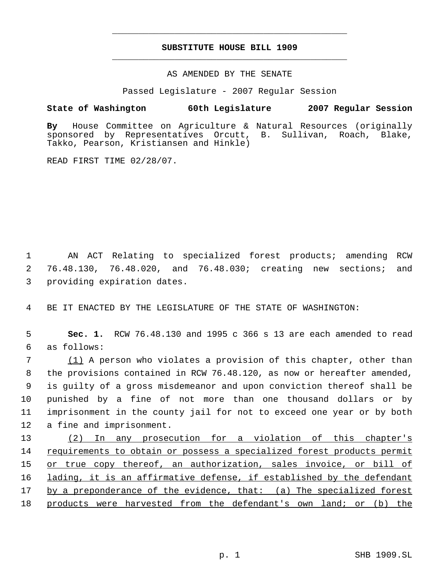# **SUBSTITUTE HOUSE BILL 1909** \_\_\_\_\_\_\_\_\_\_\_\_\_\_\_\_\_\_\_\_\_\_\_\_\_\_\_\_\_\_\_\_\_\_\_\_\_\_\_\_\_\_\_\_\_

\_\_\_\_\_\_\_\_\_\_\_\_\_\_\_\_\_\_\_\_\_\_\_\_\_\_\_\_\_\_\_\_\_\_\_\_\_\_\_\_\_\_\_\_\_

### AS AMENDED BY THE SENATE

Passed Legislature - 2007 Regular Session

## **State of Washington 60th Legislature 2007 Regular Session**

**By** House Committee on Agriculture & Natural Resources (originally sponsored by Representatives Orcutt, B. Takko, Pearson, Kristiansen and Hinkle)

READ FIRST TIME 02/28/07.

 1 AN ACT Relating to specialized forest products; amending RCW 2 76.48.130, 76.48.020, and 76.48.030; creating new sections; and 3 providing expiration dates.

4 BE IT ENACTED BY THE LEGISLATURE OF THE STATE OF WASHINGTON:

 5 **Sec. 1.** RCW 76.48.130 and 1995 c 366 s 13 are each amended to read 6 as follows:

 (1) A person who violates a provision of this chapter, other than the provisions contained in RCW 76.48.120, as now or hereafter amended, is guilty of a gross misdemeanor and upon conviction thereof shall be punished by a fine of not more than one thousand dollars or by imprisonment in the county jail for not to exceed one year or by both a fine and imprisonment.

13 (2) In any prosecution for a violation of this chapter's 14 requirements to obtain or possess a specialized forest products permit 15 or true copy thereof, an authorization, sales invoice, or bill of 16 lading, it is an affirmative defense, if established by the defendant 17 by a preponderance of the evidence, that: (a) The specialized forest 18 products were harvested from the defendant's own land; or (b) the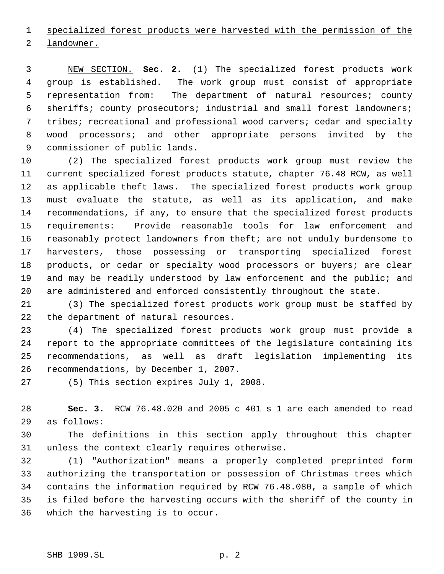specialized forest products were harvested with the permission of the landowner.

 NEW SECTION. **Sec. 2.** (1) The specialized forest products work group is established. The work group must consist of appropriate representation from: The department of natural resources; county sheriffs; county prosecutors; industrial and small forest landowners; tribes; recreational and professional wood carvers; cedar and specialty wood processors; and other appropriate persons invited by the commissioner of public lands.

 (2) The specialized forest products work group must review the current specialized forest products statute, chapter 76.48 RCW, as well as applicable theft laws. The specialized forest products work group must evaluate the statute, as well as its application, and make recommendations, if any, to ensure that the specialized forest products requirements: Provide reasonable tools for law enforcement and reasonably protect landowners from theft; are not unduly burdensome to harvesters, those possessing or transporting specialized forest products, or cedar or specialty wood processors or buyers; are clear 19 and may be readily understood by law enforcement and the public; and are administered and enforced consistently throughout the state.

 (3) The specialized forest products work group must be staffed by the department of natural resources.

 (4) The specialized forest products work group must provide a report to the appropriate committees of the legislature containing its recommendations, as well as draft legislation implementing its recommendations, by December 1, 2007.

(5) This section expires July 1, 2008.

 **Sec. 3.** RCW 76.48.020 and 2005 c 401 s 1 are each amended to read as follows:

 The definitions in this section apply throughout this chapter unless the context clearly requires otherwise.

 (1) "Authorization" means a properly completed preprinted form authorizing the transportation or possession of Christmas trees which contains the information required by RCW 76.48.080, a sample of which is filed before the harvesting occurs with the sheriff of the county in which the harvesting is to occur.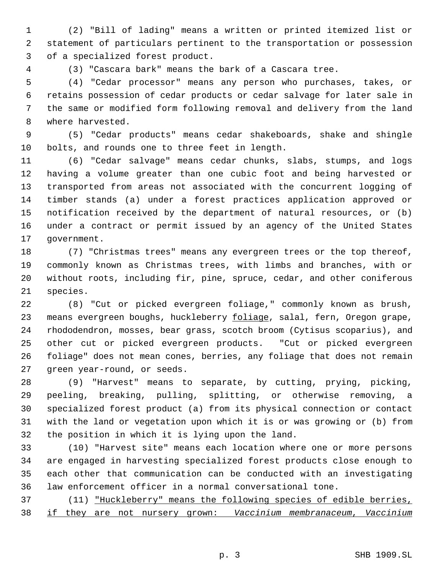(2) "Bill of lading" means a written or printed itemized list or statement of particulars pertinent to the transportation or possession of a specialized forest product.

(3) "Cascara bark" means the bark of a Cascara tree.

 (4) "Cedar processor" means any person who purchases, takes, or retains possession of cedar products or cedar salvage for later sale in the same or modified form following removal and delivery from the land where harvested.

 (5) "Cedar products" means cedar shakeboards, shake and shingle bolts, and rounds one to three feet in length.

 (6) "Cedar salvage" means cedar chunks, slabs, stumps, and logs having a volume greater than one cubic foot and being harvested or transported from areas not associated with the concurrent logging of timber stands (a) under a forest practices application approved or notification received by the department of natural resources, or (b) under a contract or permit issued by an agency of the United States government.

 (7) "Christmas trees" means any evergreen trees or the top thereof, commonly known as Christmas trees, with limbs and branches, with or without roots, including fir, pine, spruce, cedar, and other coniferous species.

 (8) "Cut or picked evergreen foliage," commonly known as brush, 23 means evergreen boughs, huckleberry foliage, salal, fern, Oregon grape, rhododendron, mosses, bear grass, scotch broom (Cytisus scoparius), and other cut or picked evergreen products. "Cut or picked evergreen foliage" does not mean cones, berries, any foliage that does not remain green year-round, or seeds.

 (9) "Harvest" means to separate, by cutting, prying, picking, peeling, breaking, pulling, splitting, or otherwise removing, a specialized forest product (a) from its physical connection or contact with the land or vegetation upon which it is or was growing or (b) from the position in which it is lying upon the land.

 (10) "Harvest site" means each location where one or more persons are engaged in harvesting specialized forest products close enough to each other that communication can be conducted with an investigating law enforcement officer in a normal conversational tone.

 (11) "Huckleberry" means the following species of edible berries, if they are not nursery grown: *Vaccinium membranaceum*, *Vaccinium*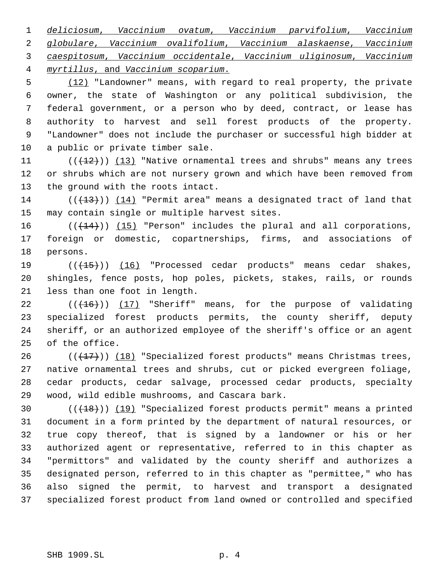*deliciosum*, *Vaccinium ovatum*, *Vaccinium parvifolium*, *Vaccinium globulare*, *Vaccinium ovalifolium*, *Vaccinium alaskaense*, *Vaccinium caespitosum*, *Vaccinium occidentale*, *Vaccinium uliginosum*, *Vaccinium myrtillus*, and *Vaccinium scoparium*.

 (12) "Landowner" means, with regard to real property, the private owner, the state of Washington or any political subdivision, the federal government, or a person who by deed, contract, or lease has authority to harvest and sell forest products of the property. "Landowner" does not include the purchaser or successful high bidder at a public or private timber sale.

11  $((+12))$   $(13)$  "Native ornamental trees and shrubs" means any trees or shrubs which are not nursery grown and which have been removed from the ground with the roots intact.

14 ( $(\frac{13}{13})$ ) (14) "Permit area" means a designated tract of land that may contain single or multiple harvest sites.

 $((+14))$   $(15)$  "Person" includes the plural and all corporations, foreign or domestic, copartnerships, firms, and associations of persons.

19 (((15)) (16) "Processed cedar products" means cedar shakes, shingles, fence posts, hop poles, pickets, stakes, rails, or rounds less than one foot in length.

 $((+16))$   $(17)$  "Sheriff" means, for the purpose of validating specialized forest products permits, the county sheriff, deputy sheriff, or an authorized employee of the sheriff's office or an agent of the office.

 $((+17))$   $(18)$  "Specialized forest products" means Christmas trees, native ornamental trees and shrubs, cut or picked evergreen foliage, cedar products, cedar salvage, processed cedar products, specialty wood, wild edible mushrooms, and Cascara bark.

 $((+18))$   $(19)$  "Specialized forest products permit" means a printed document in a form printed by the department of natural resources, or true copy thereof, that is signed by a landowner or his or her authorized agent or representative, referred to in this chapter as "permittors" and validated by the county sheriff and authorizes a designated person, referred to in this chapter as "permittee," who has also signed the permit, to harvest and transport a designated specialized forest product from land owned or controlled and specified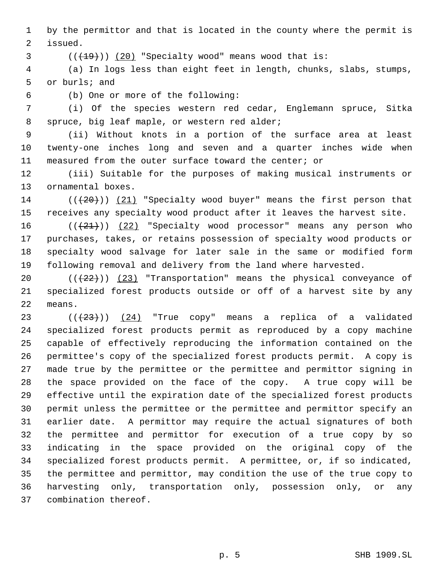by the permittor and that is located in the county where the permit is issued.

 $((+19))$   $(20)$  "Specialty wood" means wood that is:

 (a) In logs less than eight feet in length, chunks, slabs, stumps, or burls; and

(b) One or more of the following:

 (i) Of the species western red cedar, Englemann spruce, Sitka spruce, big leaf maple, or western red alder;

 (ii) Without knots in a portion of the surface area at least twenty-one inches long and seven and a quarter inches wide when measured from the outer surface toward the center; or

 (iii) Suitable for the purposes of making musical instruments or ornamental boxes.

14  $((+20))$  (21) "Specialty wood buyer" means the first person that receives any specialty wood product after it leaves the harvest site.

 $((+21))$   $(22)$  "Specialty wood processor" means any person who purchases, takes, or retains possession of specialty wood products or specialty wood salvage for later sale in the same or modified form following removal and delivery from the land where harvested.

20  $((+22))$   $(23)$  "Transportation" means the physical conveyance of specialized forest products outside or off of a harvest site by any means.

 $((+23))$   $(24)$  "True copy" means a replica of a validated specialized forest products permit as reproduced by a copy machine capable of effectively reproducing the information contained on the permittee's copy of the specialized forest products permit. A copy is made true by the permittee or the permittee and permittor signing in the space provided on the face of the copy. A true copy will be effective until the expiration date of the specialized forest products permit unless the permittee or the permittee and permittor specify an earlier date. A permittor may require the actual signatures of both the permittee and permittor for execution of a true copy by so indicating in the space provided on the original copy of the specialized forest products permit. A permittee, or, if so indicated, the permittee and permittor, may condition the use of the true copy to harvesting only, transportation only, possession only, or any combination thereof.